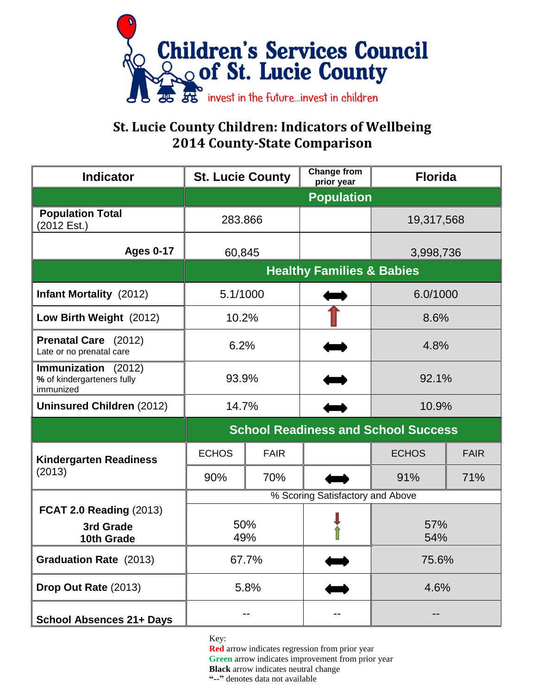

## **St. Lucie County Children: Indicators of Wellbeing 2014 County-State Comparison**

| <b>Indicator</b>                                               | <b>St. Lucie County</b>                    |             | <b>Change from</b><br>prior year | <b>Florida</b> |             |
|----------------------------------------------------------------|--------------------------------------------|-------------|----------------------------------|----------------|-------------|
|                                                                | <b>Population</b>                          |             |                                  |                |             |
| <b>Population Total</b><br>(2012 Est.)                         | 283.866                                    |             |                                  | 19,317,568     |             |
| <b>Ages 0-17</b>                                               | 60,845                                     |             |                                  | 3,998,736      |             |
|                                                                | <b>Healthy Families &amp; Babies</b>       |             |                                  |                |             |
| <b>Infant Mortality</b> (2012)                                 | 5.1/1000                                   |             |                                  | 6.0/1000       |             |
| Low Birth Weight (2012)                                        | 10.2%                                      |             |                                  | 8.6%           |             |
| Prenatal Care (2012)<br>Late or no prenatal care               | 6.2%                                       |             |                                  | 4.8%           |             |
| Immunization (2012)<br>% of kindergarteners fully<br>immunized | 93.9%                                      |             |                                  | 92.1%          |             |
| <b>Uninsured Children (2012)</b>                               | 14.7%                                      |             |                                  | 10.9%          |             |
|                                                                | <b>School Readiness and School Success</b> |             |                                  |                |             |
| <b>Kindergarten Readiness</b><br>(2013)                        | <b>ECHOS</b>                               | <b>FAIR</b> |                                  | <b>ECHOS</b>   | <b>FAIR</b> |
|                                                                | 90%                                        | 70%         |                                  | 91%            | 71%         |
|                                                                | % Scoring Satisfactory and Above           |             |                                  |                |             |
| <b>FCAT 2.0 Reading (2013)</b><br>3rd Grade<br>10th Grade      | 50%<br>49%                                 |             |                                  | 57%<br>54%     |             |
| <b>Graduation Rate</b> (2013)                                  | 67.7%                                      |             |                                  | 75.6%          |             |
| Drop Out Rate (2013)                                           | 5.8%                                       |             |                                  | 4.6%           |             |
| <b>School Absences 21+ Days</b>                                |                                            |             |                                  |                |             |

Key:

**Red** arrow indicates regression from prior year **Green** arrow indicates improvement from prior year **Black** arrow indicates neutral change **"--"** denotes data not available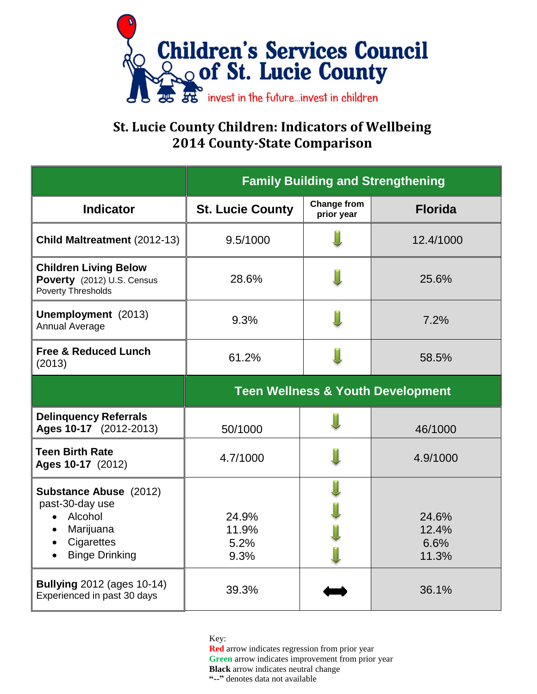

## **St. Lucie County Children: Indicators of Wellbeing 2014 County-State Comparison**

|                                                                                                                 | <b>Family Building and Strengthening</b>     |                                  |                                 |  |  |
|-----------------------------------------------------------------------------------------------------------------|----------------------------------------------|----------------------------------|---------------------------------|--|--|
| <b>Indicator</b>                                                                                                | <b>St. Lucie County</b>                      | <b>Change from</b><br>prior year | <b>Florida</b>                  |  |  |
| Child Maltreatment (2012-13)                                                                                    | 9.5/1000                                     |                                  | 12.4/1000                       |  |  |
| <b>Children Living Below</b><br>Poverty (2012) U.S. Census<br><b>Poverty Thresholds</b>                         | 28.6%                                        |                                  | 25.6%                           |  |  |
| Unemployment (2013)<br>Annual Average                                                                           | 9.3%                                         |                                  | 7.2%                            |  |  |
| <b>Free &amp; Reduced Lunch</b><br>(2013)                                                                       | 61.2%                                        |                                  | 58.5%                           |  |  |
|                                                                                                                 | <b>Teen Wellness &amp; Youth Development</b> |                                  |                                 |  |  |
| <b>Delinquency Referrals</b><br>Ages 10-17 (2012-2013)                                                          | 50/1000                                      |                                  | 46/1000                         |  |  |
| <b>Teen Birth Rate</b><br>Ages 10-17 (2012)                                                                     | 4.7/1000                                     |                                  | 4.9/1000                        |  |  |
| <b>Substance Abuse (2012)</b><br>past-30-day use<br>Alcohol<br>Marijuana<br>Cigarettes<br><b>Binge Drinking</b> | 24.9%<br>11.9%<br>5.2%<br>9.3%               |                                  | 24.6%<br>12.4%<br>6.6%<br>11.3% |  |  |
| <b>Bullying 2012 (ages 10-14)</b><br>Experienced in past 30 days                                                | 39.3%                                        |                                  | 36.1%                           |  |  |

Key:

**Red** arrow indicates regression from prior year **Green** arrow indicates improvement from prior year **Black** arrow indicates neutral change **"--"** denotes data not available